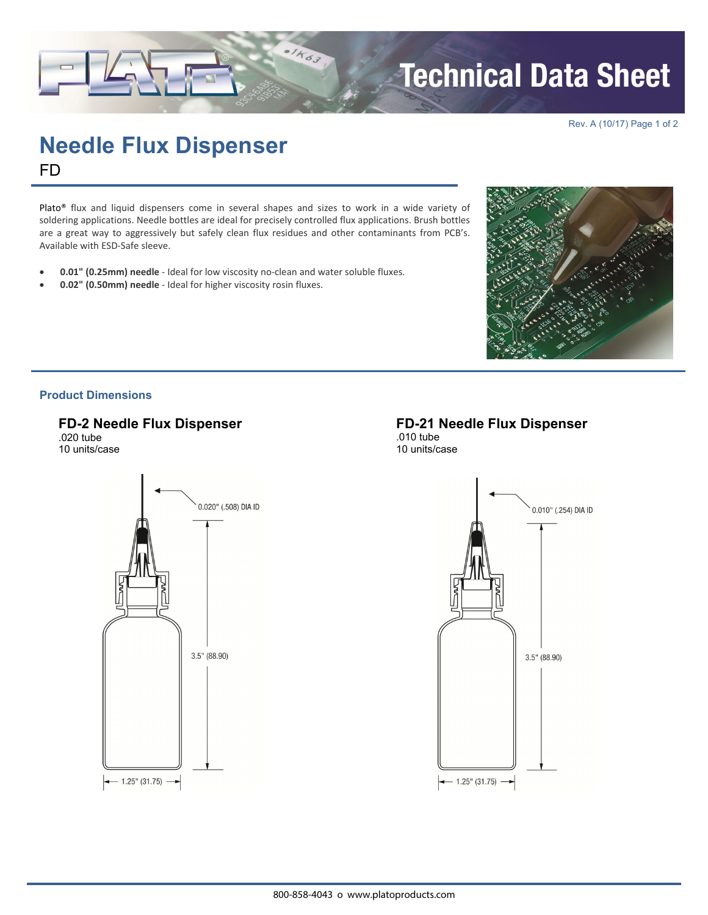# **Technical Data Sheet**

Rev. A (10/17) Page 1 of 2

# **Needle Flux Dispenser**  FD

Plato® flux and liquid dispensers come in several shapes and sizes to work in a wide variety of soldering applications. Needle bottles are ideal for precisely controlled flux applications. Brush bottles are a great way to aggressively but safely clean flux residues and other contaminants from PCB's. Available with ESD‐Safe sleeve.

- **0.01" (0.25mm) needle** ‐ Ideal for low viscosity no‐clean and water soluble fluxes.
- **0.02" (0.50mm) needle** ‐ Ideal for higher viscosity rosin fluxes.



## **Product Dimensions**

**FD-2 Needle Flux Dispenser** 

.020 tube 10 units/case



**FD-21 Needle Flux Dispenser** .010 tube 10 units/case